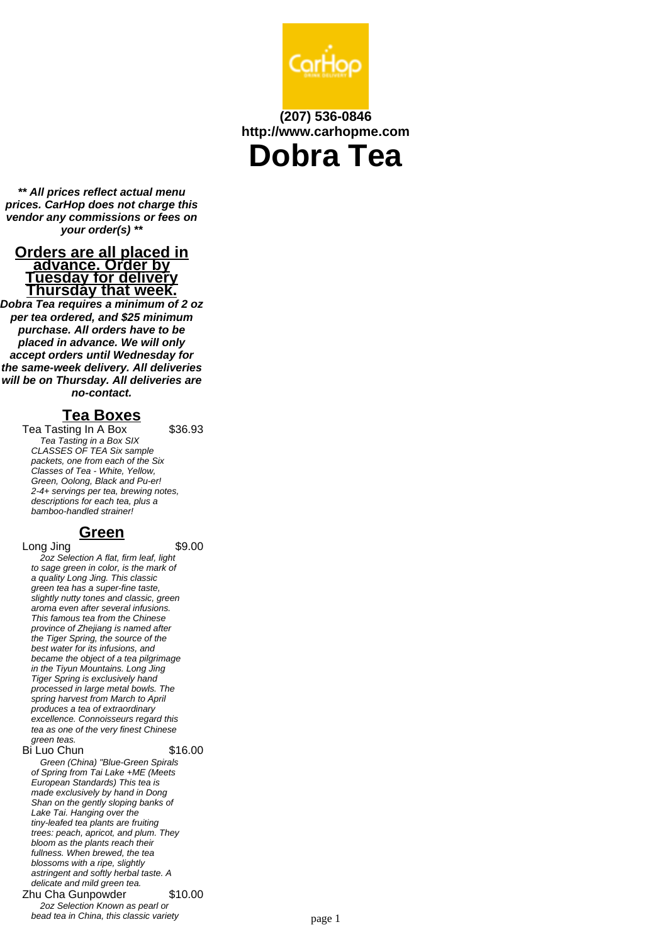

# **(207) 536-0846 http://www.carhopme.com**

**Dobra Tea**

**\*\* All prices reflect actual menu prices. CarHop does not charge this vendor any commissions or fees on your order(s) \*\***

#### **Orders are all placed in advance. Order by Tuesday for delivery Thursday that week.**

**Dobra Tea requires a minimum of 2 oz per tea ordered, and \$25 minimum purchase. All orders have to be placed in advance. We will only accept orders until Wednesday for the same-week delivery. All deliveries will be on Thursday. All deliveries are no-contact.**

## **Tea Boxes**

Tea Tasting In A Box \$36.93 Tea Tasting in a Box SIX CLASSES OF TEA Six sample packets, one from each of the Six Classes of Tea - White, Yellow, Green, Oolong, Black and Pu-er! 2-4+ servings per tea, brewing notes, descriptions for each tea, plus a bamboo-handled strainer!

## **Green**

Long Jing \$9.00

2oz Selection A flat, firm leaf, light to sage green in color, is the mark of a quality Long Jing. This classic green tea has a super-fine taste, slightly nutty tones and classic, green aroma even after several infusions. This famous tea from the Chinese province of Zhejiang is named after the Tiger Spring, the source of the best water for its infusions, and became the object of a tea pilgrimage in the Tiyun Mountains. Long Jing Tiger Spring is exclusively hand processed in large metal bowls. The spring harvest from March to April produces a tea of extraordinary excellence. Connoisseurs regard this tea as one of the very finest Chinese green teas.

Bi Luo Chun \$16.00 Green (China) "Blue-Green Spirals of Spring from Tai Lake +ME (Meets European Standards) This tea is made exclusively by hand in Dong Shan on the gently sloping banks of Lake Tai. Hanging over the tiny-leafed tea plants are fruiting trees: peach, apricot, and plum. They bloom as the plants reach their fullness. When brewed, the tea blossoms with a ripe, slightly astringent and softly herbal taste. A delicate and mild green tea. Zhu Cha Gunpowder \$10.00 2oz Selection Known as pearl or

bead tea in China, this classic variety **page 1**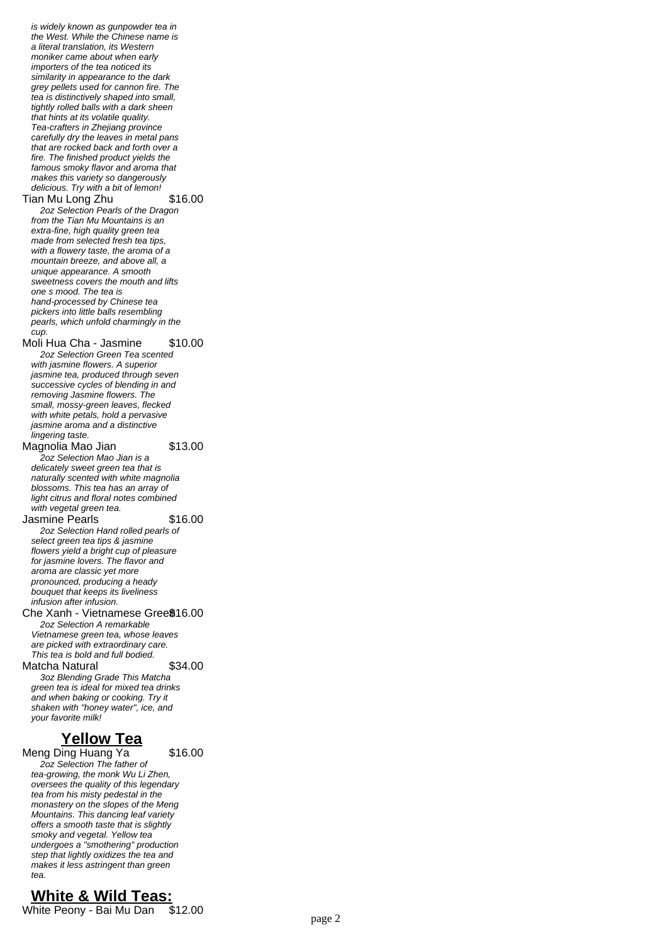is widely known as gunpowder tea in the West. While the Chinese name is a literal translation, its Western moniker came about when early importers of the tea noticed its similarity in appearance to the dark grey pellets used for cannon fire. The tea is distinctively shaped into small, tightly rolled balls with a dark sheen that hints at its volatile quality. Tea-crafters in Zhejiang province carefully dry the leaves in metal pans that are rocked back and forth over a fire. The finished product yields the famous smoky flavor and aroma that makes this variety so dangerously delicious. Try with a bit of lemon! Tian Mu Long Zhu \$16.00 2oz Selection Pearls of the Dragon from the Tian Mu Mountains is an extra-fine, high quality green tea made from selected fresh tea tips, with a flowery taste, the aroma of a mountain breeze, and above all, a unique appearance. A smooth sweetness covers the mouth and lifts one s mood. The tea is hand-processed by Chinese tea pickers into little balls resembling pearls, which unfold charmingly in the  $CUD$ Moli Hua Cha - Jasmine \$10.00 2oz Selection Green Tea scented with jasmine flowers. A superior jasmine tea, produced through seven successive cycles of blending in and removing Jasmine flowers. The small, mossy-green leaves, flecked with white petals, hold a pervasive jasmine aroma and a distinctive lingering taste. Magnolia Mao Jian \$13.00 2oz Selection Mao Jian is a delicately sweet green tea that is naturally scented with white magnolia blossoms. This tea has an array of light citrus and floral notes combined with vegetal green tea. Jasmine Pearls \$16.00 2oz Selection Hand rolled pearls of select green tea tips & jasmine flowers yield a bright cup of pleasure for jasmine lovers. The flavor and aroma are classic yet more pronounced, producing a heady bouquet that keeps its liveliness infusion after infusion. Che Xanh - Vietnamese Gree\$16.00 2oz Selection A remarkable Vietnamese green tea, whose leaves are picked with extraordinary care. This tea is bold and full bodied. Matcha Natural \$34.00 3oz Blending Grade This Matcha green tea is ideal for mixed tea drinks and when baking or cooking. Try it shaken with "honey water", ice, and your favorite milk! **Yellow Tea** Meng Ding Huang Ya \$16.00

2oz Selection The father of tea-growing, the monk Wu Li Zhen, oversees the quality of this legendary tea from his misty pedestal in the monastery on the slopes of the Meng Mountains. This dancing leaf variety offers a smooth taste that is slightly smoky and vegetal. Yellow tea undergoes a "smothering" production step that lightly oxidizes the tea and makes it less astringent than green tea.

## **White & Wild Teas:**

White Peony - Bai Mu Dan \$12.00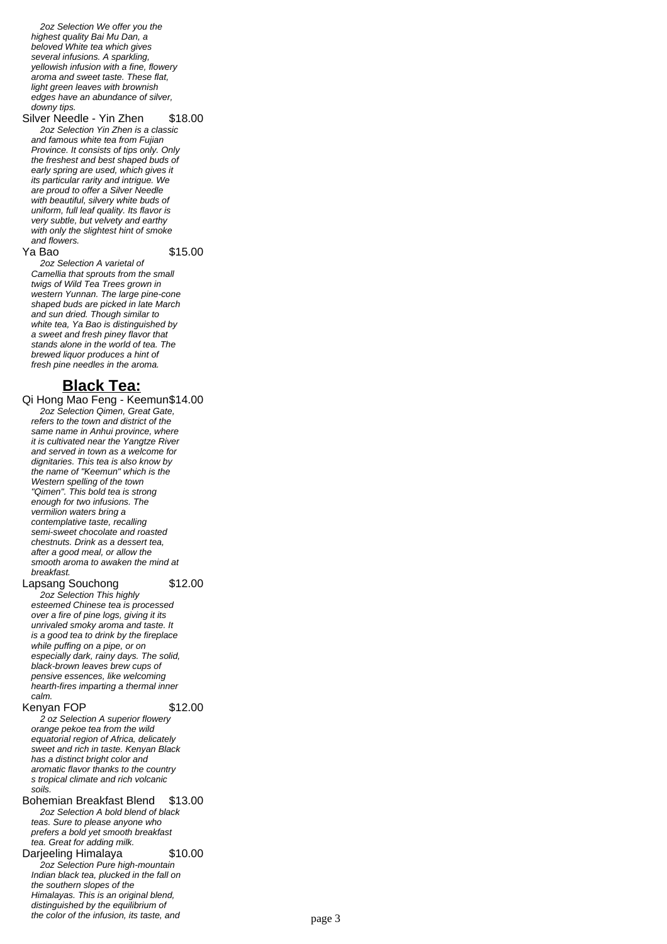2oz Selection We offer you the highest quality Bai Mu Dan, a beloved White tea which gives several infusions. A sparkling, yellowish infusion with a fine, flowery aroma and sweet taste. These flat, light green leaves with brownish edges have an abundance of silver, downy tips.

Silver Needle - Yin Zhen \$18.00 2oz Selection Yin Zhen is a classic and famous white tea from Fujian Province. It consists of tips only. Only the freshest and best shaped buds of early spring are used, which gives it its particular rarity and intrigue. We are proud to offer a Silver Needle with beautiful, silvery white buds of uniform, full leaf quality. Its flavor is very subtle, but velvety and earthy with only the slightest hint of smoke and flowers.

**Ya Bao** \$15.00

2oz Selection A varietal of Camellia that sprouts from the small twigs of Wild Tea Trees grown in western Yunnan. The large pine-cone shaped buds are picked in late March and sun dried. Though similar to white tea, Ya Bao is distinguished by a sweet and fresh piney flavor that stands alone in the world of tea. The brewed liquor produces a hint of fresh pine needles in the aroma.

### **Black Tea:**

Qi Hong Mao Feng - Keemun\$14.00 2oz Selection Qimen, Great Gate, refers to the town and district of the same name in Anhui province, where it is cultivated near the Yangtze River and served in town as a welcome for dignitaries. This tea is also know by the name of "Keemun" which is the Western spelling of the town "Qimen". This bold tea is strong enough for two infusions. The vermilion waters bring a contemplative taste, recalling semi-sweet chocolate and roasted chestnuts. Drink as a dessert tea, after a good meal, or allow the smooth aroma to awaken the mind at breakfast.

Lapsang Souchong \$12.00

2oz Selection This highly esteemed Chinese tea is processed over a fire of pine logs, giving it its unrivaled smoky aroma and taste. It is a good tea to drink by the fireplace while puffing on a pipe, or on especially dark, rainy days. The solid, black-brown leaves brew cups of pensive essences, like welcoming hearth-fires imparting a thermal inner calm.

Kenyan FOP \$12.00

2 oz Selection A superior flowery orange pekoe tea from the wild equatorial region of Africa, delicately sweet and rich in taste. Kenyan Black has a distinct bright color and aromatic flavor thanks to the country s tropical climate and rich volcanic soils.

Bohemian Breakfast Blend \$13.00 2oz Selection A bold blend of black teas. Sure to please anyone who prefers a bold yet smooth breakfast tea. Great for adding milk.

Darjeeling Himalaya \$10.00

2oz Selection Pure high-mountain Indian black tea, plucked in the fall on the southern slopes of the Himalayas. This is an original blend, distinguished by the equilibrium of the color of the infusion, its taste, and  $page 3$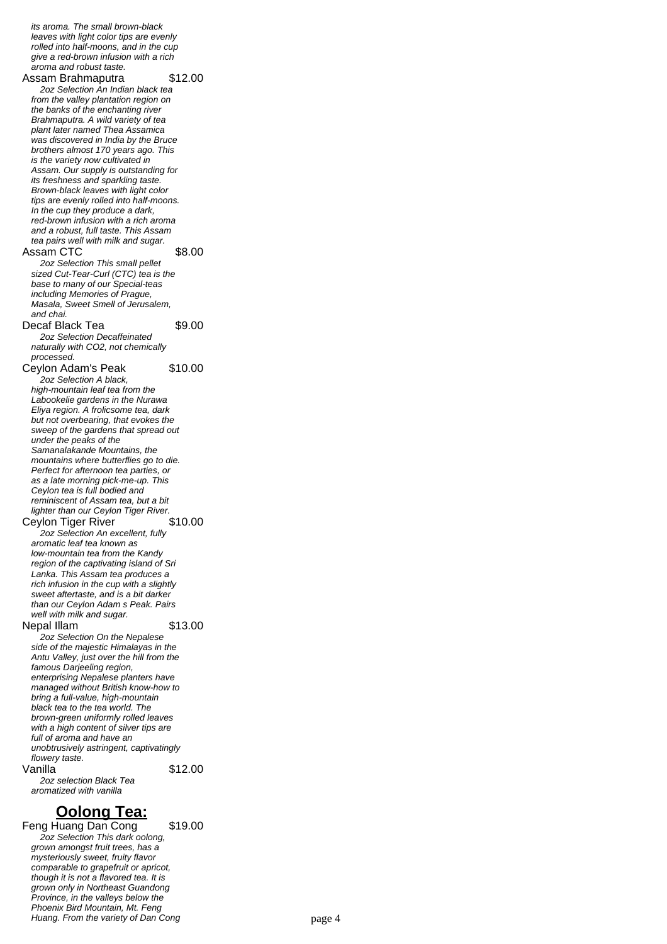leaves with light color tips are evenly rolled into half-moons, and in the cup give a red-brown infusion with a rich aroma and robust taste. Assam Brahmaputra \$12.00 2oz Selection An Indian black tea from the valley plantation region on the banks of the enchanting river Brahmaputra. A wild variety of tea plant later named Thea Assamica was discovered in India by the Bruce brothers almost 170 years ago. This is the variety now cultivated in Assam. Our supply is outstanding for its freshness and sparkling taste. Brown-black leaves with light color tips are evenly rolled into half-moons. In the cup they produce a dark, red-brown infusion with a rich aroma and a robust, full taste. This Assam tea pairs well with milk and sugar. Assam CTC \$8.00 2oz Selection This small pellet sized Cut-Tear-Curl (CTC) tea is the base to many of our Special-teas including Memories of Prague, Masala, Sweet Smell of Jerusalem, and chai. Decaf Black Tea \$9.00 2oz Selection Decaffeinated naturally with CO2, not chemically processed. Ceylon Adam's Peak \$10.00 2oz Selection A black, high-mountain leaf tea from the Labookelie gardens in the Nurawa Eliya region. A frolicsome tea, dark but not overbearing, that evokes the sweep of the gardens that spread out under the peaks of the Samanalakande Mountains, the mountains where butterflies go to die. Perfect for afternoon tea parties, or as a late morning pick-me-up. This Ceylon tea is full bodied and reminiscent of Assam tea, but a bit lighter than our Ceylon Tiger River. Ceylon Tiger River \$10.00 2oz Selection An excellent, fully aromatic leaf tea known as low-mountain tea from the Kandy region of the captivating island of Sri Lanka. This Assam tea produces a rich infusion in the cup with a slightly sweet aftertaste, and is a bit darker than our Ceylon Adam s Peak. Pairs well with milk and sugar. Nepal Illam \$13.00 2oz Selection On the Nepalese side of the majestic Himalayas in the Antu Valley, just over the hill from the famous Darjeeling region, enterprising Nepalese planters have managed without British know-how to bring a full-value, high-mountain black tea to the tea world. The brown-green uniformly rolled leaves with a high content of silver tips are full of aroma and have an unobtrusively astringent, captivatingly flowery taste. Vanilla \$12.00 2oz selection Black Tea

its aroma. The small brown-black

### **Oolong Tea:**

aromatized with vanilla

Feng Huang Dan Cong \$19.00 2oz Selection This dark oolong, grown amongst fruit trees, has a mysteriously sweet, fruity flavor comparable to grapefruit or apricot, though it is not a flavored tea. It is grown only in Northeast Guandong Province, in the valleys below the Phoenix Bird Mountain, Mt. Feng Huang. From the variety of Dan Cong page 4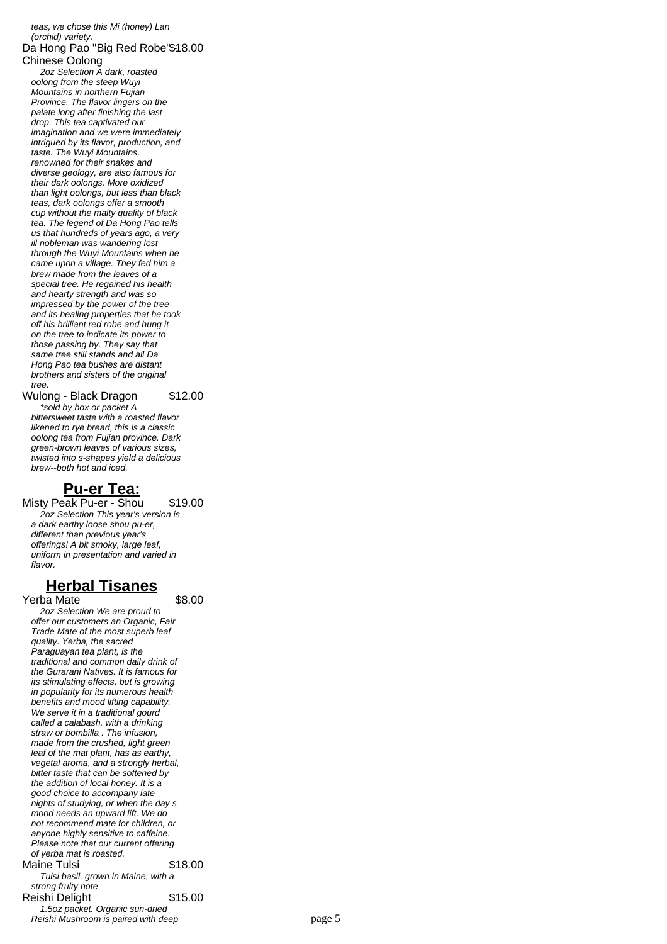teas, we chose this Mi (honey) Lan (orchid) variety. Da Hong Pao "Big Red Robe"\$18.00 Chinese Oolong 2oz Selection A dark, roasted oolong from the steep Wuyi Mountains in northern Fujian Province. The flavor lingers on the palate long after finishing the last drop. This tea captivated our imagination and we were immediately intrigued by its flavor, production, and taste. The Wuyi Mountains, renowned for their snakes and diverse geology, are also famous for their dark oolongs. More oxidized than light oolongs, but less than black teas, dark oolongs offer a smooth cup without the malty quality of black tea. The legend of Da Hong Pao tells us that hundreds of years ago, a very ill nobleman was wandering lost through the Wuyi Mountains when he came upon a village. They fed him a brew made from the leaves of a special tree. He regained his health and hearty strength and was so impressed by the power of the tree and its healing properties that he took off his brilliant red robe and hung it on the tree to indicate its power to those passing by. They say that same tree still stands and all Da Hong Pao tea bushes are distant brothers and sisters of the original tree. Wulong - Black Dragon \$12.00

\*sold by box or packet A bittersweet taste with a roasted flavor likened to rye bread, this is a classic oolong tea from Fujian province. Dark green-brown leaves of various sizes, twisted into s-shapes yield a delicious brew--both hot and iced.

## **Pu-er Tea:**

Misty Peak Pu-er - Shou \$19.00 2oz Selection This year's version is a dark earthy loose shou pu-er, different than previous year's offerings! A bit smoky, large leaf, uniform in presentation and varied in flavor

## **Herbal Tisanes**

Yerba Mate \$8.00

2oz Selection We are proud to offer our customers an Organic, Fair Trade Mate of the most superb leaf quality. Yerba, the sacred Paraguayan tea plant, is the traditional and common daily drink of the Gurarani Natives. It is famous for its stimulating effects, but is growing in popularity for its numerous health benefits and mood lifting capability. We serve it in a traditional gourd called a calabash, with a drinking straw or bombilla . The infusion, made from the crushed, light green leaf of the mat plant, has as earthy, vegetal aroma, and a strongly herbal, bitter taste that can be softened by the addition of local honey. It is a good choice to accompany late nights of studying, or when the day s mood needs an upward lift. We do not recommend mate for children, or anyone highly sensitive to caffeine. Please note that our current offering of yerba mat is roasted. Maine Tulsi  $$18.00$ Tulsi basil, grown in Maine, with a strong fruity note Reishi Delight \$15.00 1.5oz packet. Organic sun-dried Reishi Mushroom is paired with deep page 5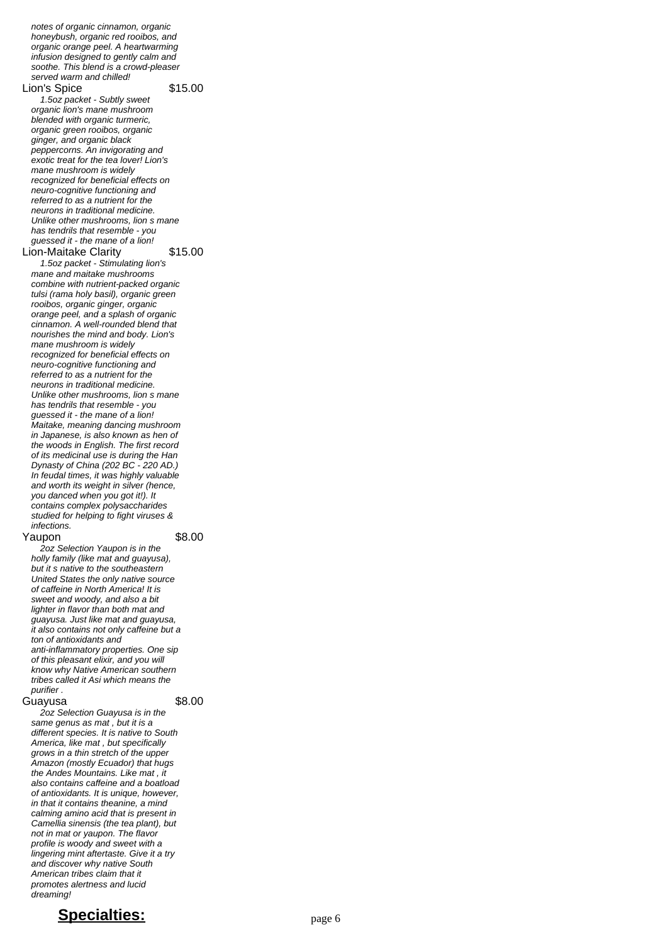honeybush, organic red rooibos, and organic orange peel. A heartwarming infusion designed to gently calm and soothe. This blend is a crowd-pleaser served warm and chilled! Lion's Spice \$15.00 1.5oz packet - Subtly sweet organic lion's mane mushroom blended with organic turmeric. organic green rooibos, organic ginger, and organic black peppercorns. An invigorating and exotic treat for the tea lover! Lion's mane mushroom is widely mane masm centre mass,<br>recognized for beneficial effects on neuro-cognitive functioning and referred to as a nutrient for the neurons in traditional medicine. Unlike other mushrooms, lion s mane has tendrils that resemble - you guessed it - the mane of a lion! Lion-Maitake Clarity \$15.00 1.5oz packet - Stimulating lion's mane and maitake mushrooms combine with nutrient-packed organic tulsi (rama holy basil), organic green rooibos, organic ginger, organic orange peel, and a splash of organic cinnamon. A well-rounded blend that nourishes the mind and body. Lion's mane mushroom is widely recognized for beneficial effects on neuro-cognitive functioning and referred to as a nutrient for the neurons in traditional medicine. Unlike other mushrooms, lion s mane has tendrils that resemble - you guessed it - the mane of a lion! Maitake, meaning dancing mushroom in Japanese, is also known as hen of the woods in English. The first record of its medicinal use is during the Han Dynasty of China (202 BC - 220 AD.) In feudal times, it was highly valuable and worth its weight in silver (hence, you danced when you got it!). It contains complex polysaccharides studied for helping to fight viruses & infections. Yaupon \$8.00

notes of organic cinnamon, organic

2oz Selection Yaupon is in the holly family (like mat and guayusa), but it s native to the southeastern United States the only native source of caffeine in North America! It is sweet and woody, and also a bit lighter in flavor than both mat and guayusa. Just like mat and guayusa, it also contains not only caffeine but a ton of antioxidants and anti-inflammatory properties. One sip of this pleasant elixir, and you will know why Native American southern tribes called it Asi which means the purifier .

#### Guayusa \$8.00

2oz Selection Guayusa is in the same genus as mat , but it is a different species. It is native to South America, like mat, but specifically grows in a thin stretch of the upper Amazon (mostly Ecuador) that hugs the Andes Mountains. Like mat , it also contains caffeine and a boatload of antioxidants. It is unique, however, in that it contains theanine, a mind calming amino acid that is present in Camellia sinensis (the tea plant), but not in mat or yaupon. The flavor profile is woody and sweet with a lingering mint aftertaste. Give it a try and discover why native South American tribes claim that it promotes alertness and lucid dreaming!

## **Specialties:** page 6